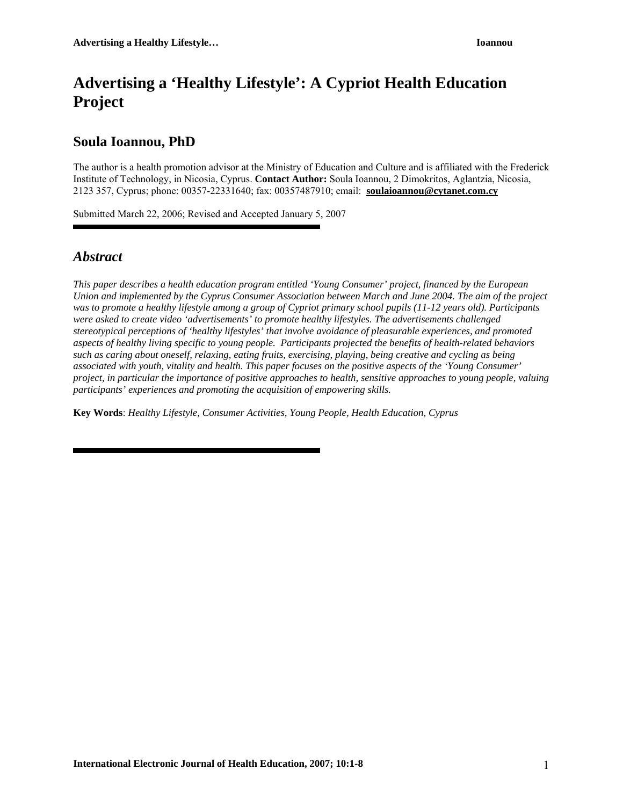# **Advertising a 'Healthy Lifestyle': A Cypriot Health Education Project**

## **Soula Ioannou, PhD**

The author is a health promotion advisor at the Ministry of Education and Culture and is affiliated with the Frederick Institute of Technology, in Nicosia, Cyprus. **Contact Author:** Soula Ioannou, 2 Dimokritos, Aglantzia, Nicosia, 2123 357, Cyprus; phone: 00357-22331640; fax: 00357487910; email: **[soulaioannou@cytanet.com.cy](mailto:soulaioannou@cytanet.com.cy)**

Submitted March 22, 2006; Revised and Accepted January 5, 2007

## *Abstract*

*This paper describes a health education program entitled 'Young Consumer' project, financed by the European Union and implemented by the Cyprus Consumer Association between March and June 2004. The aim of the project*  was to promote a healthy lifestyle among a group of Cypriot primary school pupils (11-12 years old). Participants *were asked to create video 'advertisements' to promote healthy lifestyles. The advertisements challenged stereotypical perceptions of 'healthy lifestyles' that involve avoidance of pleasurable experiences, and promoted aspects of healthy living specific to young people. Participants projected the benefits of health-related behaviors such as caring about oneself, relaxing, eating fruits, exercising, playing, being creative and cycling as being associated with youth, vitality and health. This paper focuses on the positive aspects of the 'Young Consumer' project, in particular the importance of positive approaches to health, sensitive approaches to young people, valuing participants' experiences and promoting the acquisition of empowering skills.* 

**Key Words**: *Healthy Lifestyle, Consumer Activities, Young People, Health Education, Cyprus*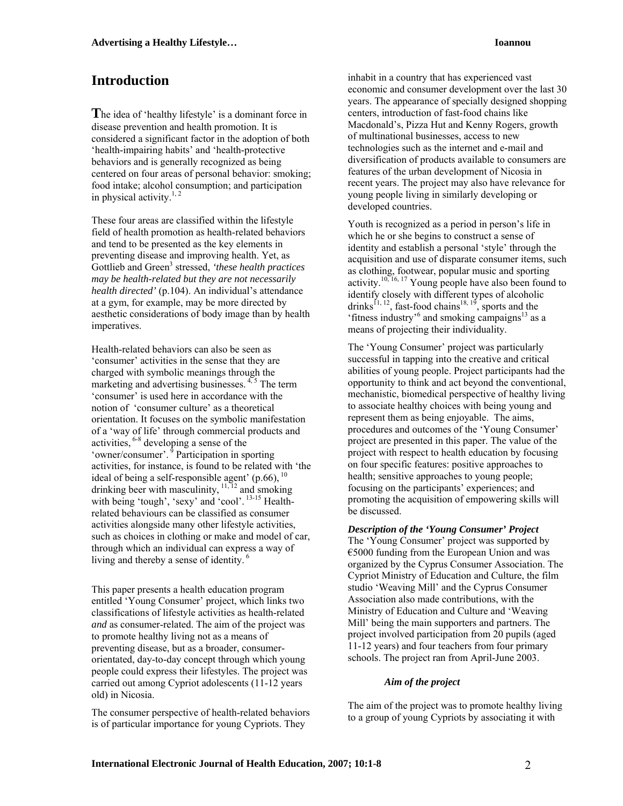## **Introduction**

**T**he idea of 'healthy lifestyle' is a dominant force in disease prevention and health promotion. It is considered a significant factor in the adoption of both 'health-impairing habits' and 'health-protective behaviors and is generally recognized as being centered on four areas of personal behavior: smoking; food intake; alcohol consumption; and participation in physical activity. $1, 2$ 

These four areas are classified within the lifestyle field of health promotion as health-related behaviors and tend to be presented as the key elements in preventing disease and improving health. Yet, as Gottlieb and Green<sup>3</sup> stressed, 'these health practices *may be health-related but they are not necessarily health directed'* (p.104). An individual's attendance at a gym, for example, may be more directed by aesthetic considerations of body image than by health imperatives.

Health-related behaviors can also be seen as 'consumer' activities in the sense that they are charged with symbolic meanings through the marketing and advertising businesses.  $4.5$  The term 'consumer' is used here in accordance with the notion of 'consumer culture' as a theoretical orientation. It focuses on the symbolic manifestation of a 'way of life' through commercial products and activities, 6-8 developing a sense of the 'owner/consumer'. 9 Participation in sporting activities, for instance, is found to be related with 'the ideal of being a self-responsible agent'  $(p.66)$ ,  $^{10}$ drinking beer with masculinity,  $11, 12$  and smoking with being 'tough', 'sexy' and 'cool'.<sup>13-15</sup> Healthrelated behaviours can be classified as consumer activities alongside many other lifestyle activities, such as choices in clothing or make and model of car, through which an individual can express a way of living and thereby a sense of identity. 6

This paper presents a health education program entitled 'Young Consumer' project, which links two classifications of lifestyle activities as health-related *and* as consumer-related. The aim of the project was to promote healthy living not as a means of preventing disease, but as a broader, consumerorientated, day-to-day concept through which young people could express their lifestyles. The project was carried out among Cypriot adolescents (11-12 years old) in Nicosia.

The consumer perspective of health-related behaviors is of particular importance for young Cypriots. They

inhabit in a country that has experienced vast economic and consumer development over the last 30 years. The appearance of specially designed shopping centers, introduction of fast-food chains like Macdonald's, Pizza Hut and Kenny Rogers, growth of multinational businesses, access to new technologies such as the internet and e-mail and diversification of products available to consumers are features of the urban development of Nicosia in recent years. The project may also have relevance for young people living in similarly developing or developed countries.

Youth is recognized as a period in person's life in which he or she begins to construct a sense of identity and establish a personal 'style' through the acquisition and use of disparate consumer items, such as clothing, footwear, popular music and sporting activity.<sup>10, 16, 17</sup> Young people have also been found to identify closely with different types of alcoholic drinks<sup>11, 12</sup>, fast-food chains<sup>18, 19</sup>, sports and the 'fitness industry'<sup>6</sup> and smoking campaigns $^{13}$  as a means of projecting their individuality.

The 'Young Consumer' project was particularly successful in tapping into the creative and critical abilities of young people. Project participants had the opportunity to think and act beyond the conventional, mechanistic, biomedical perspective of healthy living to associate healthy choices with being young and represent them as being enjoyable. The aims, procedures and outcomes of the 'Young Consumer' project are presented in this paper. The value of the project with respect to health education by focusing on four specific features: positive approaches to health; sensitive approaches to young people; focusing on the participants' experiences; and promoting the acquisition of empowering skills will be discussed.

*Description of the 'Young Consumer' Project*  The 'Young Consumer' project was supported by €5000 funding from the European Union and was organized by the Cyprus Consumer Association. The Cypriot Ministry of Education and Culture, the film studio 'Weaving Mill' and the Cyprus Consumer Association also made contributions, with the Ministry of Education and Culture and 'Weaving Mill' being the main supporters and partners. The project involved participation from 20 pupils (aged 11-12 years) and four teachers from four primary schools. The project ran from April-June 2003.

### *Aim of the project*

The aim of the project was to promote healthy living to a group of young Cypriots by associating it with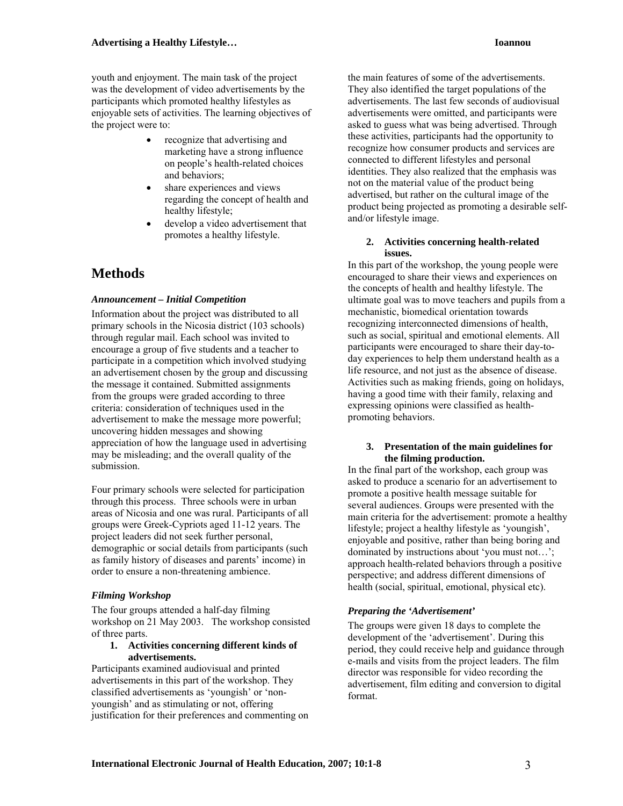youth and enjoyment. The main task of the project was the development of video advertisements by the participants which promoted healthy lifestyles as enjoyable sets of activities. The learning objectives of the project were to:

- recognize that advertising and marketing have a strong influence on people's health-related choices and behaviors;
- share experiences and views regarding the concept of health and healthy lifestyle;
- develop a video advertisement that promotes a healthy lifestyle.

## **Methods**

### *Announcement – Initial Competition*

Information about the project was distributed to all primary schools in the Nicosia district (103 schools) through regular mail. Each school was invited to encourage a group of five students and a teacher to participate in a competition which involved studying an advertisement chosen by the group and discussing the message it contained. Submitted assignments from the groups were graded according to three criteria: consideration of techniques used in the advertisement to make the message more powerful; uncovering hidden messages and showing appreciation of how the language used in advertising may be misleading; and the overall quality of the submission.

Four primary schools were selected for participation through this process. Three schools were in urban areas of Nicosia and one was rural. Participants of all groups were Greek-Cypriots aged 11-12 years. The project leaders did not seek further personal, demographic or social details from participants (such as family history of diseases and parents' income) in order to ensure a non-threatening ambience.

### *Filming Workshop*

The four groups attended a half-day filming workshop on 21 May 2003. The workshop consisted of three parts.

### **1. Activities concerning different kinds of advertisements.**

Participants examined audiovisual and printed advertisements in this part of the workshop. They classified advertisements as 'youngish' or 'nonyoungish' and as stimulating or not, offering justification for their preferences and commenting on

the main features of some of the advertisements. They also identified the target populations of the advertisements. The last few seconds of audiovisual advertisements were omitted, and participants were asked to guess what was being advertised. Through these activities, participants had the opportunity to recognize how consumer products and services are connected to different lifestyles and personal identities. They also realized that the emphasis was not on the material value of the product being advertised, but rather on the cultural image of the product being projected as promoting a desirable selfand/or lifestyle image.

### **2. Activities concerning health-related issues.**

In this part of the workshop, the young people were encouraged to share their views and experiences on the concepts of health and healthy lifestyle. The ultimate goal was to move teachers and pupils from a mechanistic, biomedical orientation towards recognizing interconnected dimensions of health, such as social, spiritual and emotional elements. All participants were encouraged to share their day-today experiences to help them understand health as a life resource, and not just as the absence of disease. Activities such as making friends, going on holidays, having a good time with their family, relaxing and expressing opinions were classified as healthpromoting behaviors.

#### **3. Presentation of the main guidelines for the filming production.**

In the final part of the workshop, each group was asked to produce a scenario for an advertisement to promote a positive health message suitable for several audiences. Groups were presented with the main criteria for the advertisement: promote a healthy lifestyle; project a healthy lifestyle as 'youngish', enjoyable and positive, rather than being boring and dominated by instructions about 'you must not…'; approach health-related behaviors through a positive perspective; and address different dimensions of health (social, spiritual, emotional, physical etc).

### *Preparing the 'Advertisement'*

The groups were given 18 days to complete the development of the 'advertisement'. During this period, they could receive help and guidance through e-mails and visits from the project leaders. The film director was responsible for video recording the advertisement, film editing and conversion to digital format.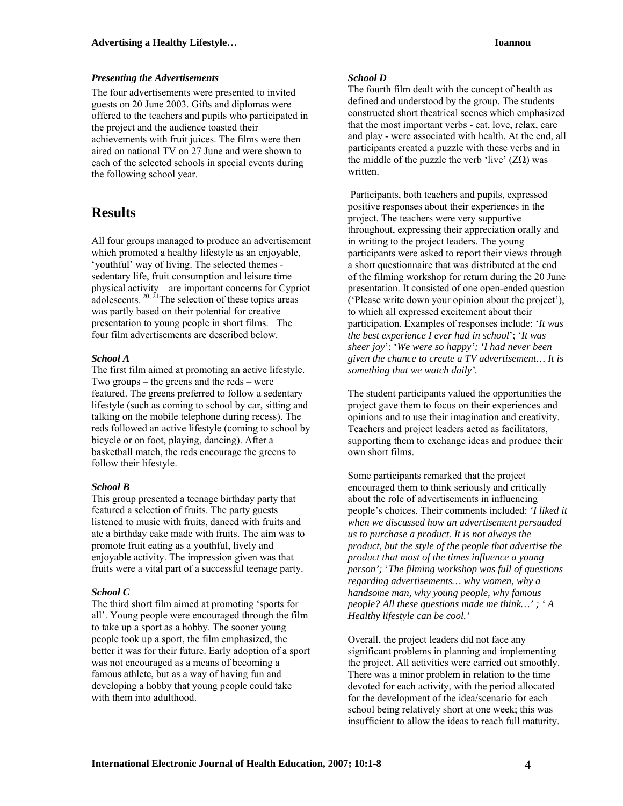### *Presenting the Advertisements*

The four advertisements were presented to invited guests on 20 June 2003. Gifts and diplomas were offered to the teachers and pupils who participated in the project and the audience toasted their achievements with fruit juices. The films were then aired on national TV on 27 June and were shown to each of the selected schools in special events during the following school year.

### **Results**

All four groups managed to produce an advertisement which promoted a healthy lifestyle as an enjoyable, 'youthful' way of living. The selected themes sedentary life, fruit consumption and leisure time physical activity – are important concerns for Cypriot adolescents.  $20, \frac{21}{1}$ The selection of these topics areas was partly based on their potential for creative presentation to young people in short films. The four film advertisements are described below.

### *School A*

The first film aimed at promoting an active lifestyle. Two groups – the greens and the reds – were featured. The greens preferred to follow a sedentary lifestyle (such as coming to school by car, sitting and talking on the mobile telephone during recess). The reds followed an active lifestyle (coming to school by bicycle or on foot, playing, dancing). After a basketball match, the reds encourage the greens to follow their lifestyle.

### *School B*

This group presented a teenage birthday party that featured a selection of fruits. The party guests listened to music with fruits, danced with fruits and ate a birthday cake made with fruits. The aim was to promote fruit eating as a youthful, lively and enjoyable activity. The impression given was that fruits were a vital part of a successful teenage party.

### *School C*

The third short film aimed at promoting 'sports for all'. Young people were encouraged through the film to take up a sport as a hobby. The sooner young people took up a sport, the film emphasized, the better it was for their future. Early adoption of a sport was not encouraged as a means of becoming a famous athlete, but as a way of having fun and developing a hobby that young people could take with them into adulthood.

### *School D*

The fourth film dealt with the concept of health as defined and understood by the group. The students constructed short theatrical scenes which emphasized that the most important verbs - eat, love, relax, care and play - were associated with health. At the end, all participants created a puzzle with these verbs and in the middle of the puzzle the verb 'live'  $(Z\Omega)$  was written.

 Participants, both teachers and pupils, expressed positive responses about their experiences in the project. The teachers were very supportive throughout, expressing their appreciation orally and in writing to the project leaders. The young participants were asked to report their views through a short questionnaire that was distributed at the end of the filming workshop for return during the 20 June presentation. It consisted of one open-ended question ('Please write down your opinion about the project'), to which all expressed excitement about their participation. Examples of responses include: '*It was the best experience I ever had in school*'; '*It was sheer joy*'; '*We were so happy'; 'I had never been given the chance to create a TV advertisement… It is something that we watch daily'.*

The student participants valued the opportunities the project gave them to focus on their experiences and opinions and to use their imagination and creativity. Teachers and project leaders acted as facilitators, supporting them to exchange ideas and produce their own short films.

Some participants remarked that the project encouraged them to think seriously and critically about the role of advertisements in influencing people's choices. Their comments included: *'I liked it when we discussed how an advertisement persuaded us to purchase a product. It is not always the product, but the style of the people that advertise the product that most of the times influence a young person';* '*The filming workshop was full of questions regarding advertisements… why women, why a handsome man, why young people, why famous people? All these questions made me think…' ; ' A Healthy lifestyle can be cool.'*

Overall, the project leaders did not face any significant problems in planning and implementing the project. All activities were carried out smoothly. There was a minor problem in relation to the time devoted for each activity, with the period allocated for the development of the idea/scenario for each school being relatively short at one week; this was insufficient to allow the ideas to reach full maturity.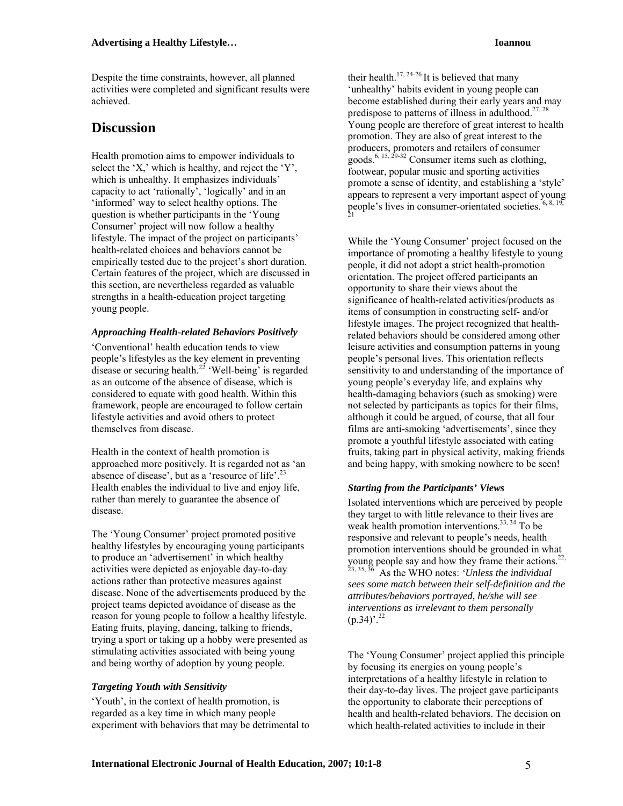Despite the time constraints, however, all planned activities were completed and significant results were achieved.

## **Discussion**

Health promotion aims to empower individuals to select the 'X,' which is healthy, and reject the 'Y', which is unhealthy. It emphasizes individuals' capacity to act 'rationally', 'logically' and in an 'informed' way to select healthy options. The question is whether participants in the 'Young Consumer' project will now follow a healthy lifestyle. The impact of the project on participants' health-related choices and behaviors cannot be empirically tested due to the project's short duration. Certain features of the project, which are discussed in this section, are nevertheless regarded as valuable strengths in a health-education project targeting young people.

### *Approaching Health-related Behaviors Positively*

'Conventional' health education tends to view people's lifestyles as the key element in preventing disease or securing health.<sup>22</sup> 'Well-being' is regarded as an outcome of the absence of disease, which is considered to equate with good health. Within this framework, people are encouraged to follow certain lifestyle activities and avoid others to protect themselves from disease.

Health in the context of health promotion is approached more positively. It is regarded not as 'an absence of disease', but as a 'resource of life'.<sup>23</sup> Health enables the individual to live and enjoy life, rather than merely to guarantee the absence of disease.

The 'Young Consumer' project promoted positive healthy lifestyles by encouraging young participants to produce an 'advertisement' in which healthy activities were depicted as enjoyable day-to-day actions rather than protective measures against disease. None of the advertisements produced by the project teams depicted avoidance of disease as the reason for young people to follow a healthy lifestyle. Eating fruits, playing, dancing, talking to friends, trying a sport or taking up a hobby were presented as stimulating activities associated with being young and being worthy of adoption by young people.

### *Targeting Youth with Sensitivity*

'Youth', in the context of health promotion, is regarded as a key time in which many people experiment with behaviors that may be detrimental to

their health.<sup>17, 24-26</sup> It is believed that many 'unhealthy' habits evident in young people can become established during their early years and may predispose to patterns of illness in adulthood.<sup>27, 28</sup> Young people are therefore of great interest to health promotion. They are also of great interest to the producers, promoters and retailers of consumer goods.<sup>6, 15, 29-32</sup> Consumer items such as clothing, footwear, popular music and sporting activities promote a sense of identity, and establishing a 'style' appears to represent a very important aspect of young people's lives in consumer-orientated societies.  $6, 8, 1$ 21

While the 'Young Consumer' project focused on the importance of promoting a healthy lifestyle to young people, it did not adopt a strict health-promotion orientation. The project offered participants an opportunity to share their views about the significance of health-related activities/products as items of consumption in constructing self- and/or lifestyle images. The project recognized that healthrelated behaviors should be considered among other leisure activities and consumption patterns in young people's personal lives. This orientation reflects sensitivity to and understanding of the importance of young people's everyday life, and explains why health-damaging behaviors (such as smoking) were not selected by participants as topics for their films, although it could be argued, of course, that all four films are anti-smoking 'advertisements', since they promote a youthful lifestyle associated with eating fruits, taking part in physical activity, making friends and being happy, with smoking nowhere to be seen!

### *Starting from the Participants' Views*

Isolated interventions which are perceived by people they target to with little relevance to their lives are weak health promotion interventions.<sup>33, 34</sup> To be responsive and relevant to people's needs, health promotion interventions should be grounded in what young people say and how they frame their actions. $22$ , 23, 35, 36 As the WHO notes: *'Unless the individual sees some match between their self-definition and the attributes/behaviors portrayed, he/she will see interventions as irrelevant to them personally*   $(p.34)^{2.22}$ 

The 'Young Consumer' project applied this principle by focusing its energies on young people's interpretations of a healthy lifestyle in relation to their day-to-day lives. The project gave participants the opportunity to elaborate their perceptions of health and health-related behaviors. The decision on which health-related activities to include in their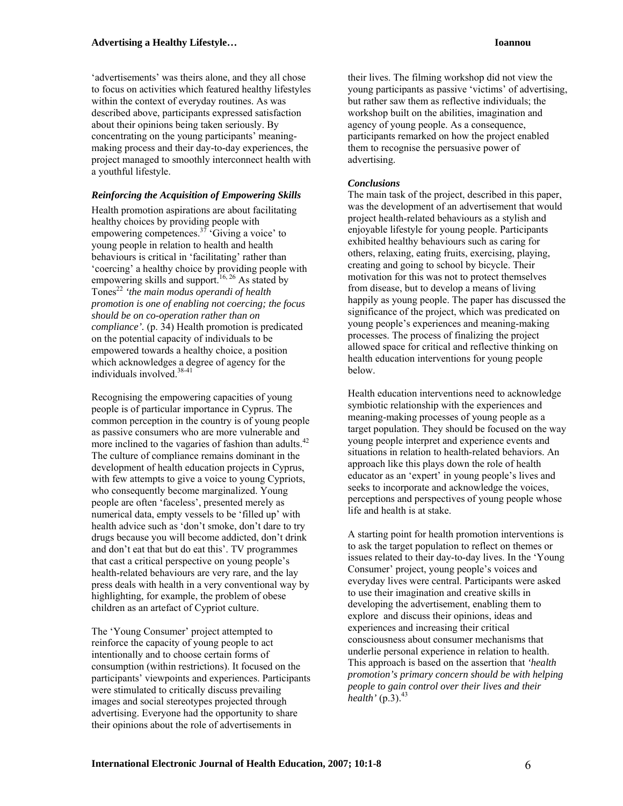'advertisements' was theirs alone, and they all chose to focus on activities which featured healthy lifestyles within the context of everyday routines. As was described above, participants expressed satisfaction about their opinions being taken seriously. By concentrating on the young participants' meaningmaking process and their day-to-day experiences, the project managed to smoothly interconnect health with a youthful lifestyle.

### *Reinforcing the Acquisition of Empowering Skills*

Health promotion aspirations are about facilitating healthy choices by providing people with empowering competences.<sup>37</sup> 'Giving a voice' to young people in relation to health and health behaviours is critical in 'facilitating' rather than 'coercing' a healthy choice by providing people with empowering skills and support.<sup>16, 26</sup> As stated by Tones22 *'the main modus operandi of health promotion is one of enabling not coercing; the focus should be on co-operation rather than on compliance'.* (p. 34) Health promotion is predicated on the potential capacity of individuals to be empowered towards a healthy choice, a position which acknowledges a degree of agency for the individuals involved.<sup>38-41</sup>

Recognising the empowering capacities of young people is of particular importance in Cyprus. The common perception in the country is of young people as passive consumers who are more vulnerable and more inclined to the vagaries of fashion than adults.<sup>42</sup> The culture of compliance remains dominant in the development of health education projects in Cyprus, with few attempts to give a voice to young Cypriots, who consequently become marginalized. Young people are often 'faceless', presented merely as numerical data, empty vessels to be 'filled up' with health advice such as 'don't smoke, don't dare to try drugs because you will become addicted, don't drink and don't eat that but do eat this'. TV programmes that cast a critical perspective on young people's health-related behaviours are very rare, and the lay press deals with health in a very conventional way by highlighting, for example, the problem of obese children as an artefact of Cypriot culture.

The 'Young Consumer' project attempted to reinforce the capacity of young people to act intentionally and to choose certain forms of consumption (within restrictions). It focused on the participants' viewpoints and experiences. Participants were stimulated to critically discuss prevailing images and social stereotypes projected through advertising. Everyone had the opportunity to share their opinions about the role of advertisements in

their lives. The filming workshop did not view the young participants as passive 'victims' of advertising, but rather saw them as reflective individuals; the workshop built on the abilities, imagination and agency of young people. As a consequence, participants remarked on how the project enabled them to recognise the persuasive power of advertising.

### *Conclusions*

The main task of the project, described in this paper, was the development of an advertisement that would project health-related behaviours as a stylish and enjoyable lifestyle for young people. Participants exhibited healthy behaviours such as caring for others, relaxing, eating fruits, exercising, playing, creating and going to school by bicycle. Their motivation for this was not to protect themselves from disease, but to develop a means of living happily as young people. The paper has discussed the significance of the project, which was predicated on young people's experiences and meaning-making processes. The process of finalizing the project allowed space for critical and reflective thinking on health education interventions for young people below.

Health education interventions need to acknowledge symbiotic relationship with the experiences and meaning-making processes of young people as a target population. They should be focused on the way young people interpret and experience events and situations in relation to health-related behaviors. An approach like this plays down the role of health educator as an 'expert' in young people's lives and seeks to incorporate and acknowledge the voices, perceptions and perspectives of young people whose life and health is at stake.

A starting point for health promotion interventions is to ask the target population to reflect on themes or issues related to their day-to-day lives. In the 'Young Consumer' project, young people's voices and everyday lives were central. Participants were asked to use their imagination and creative skills in developing the advertisement, enabling them to explore and discuss their opinions, ideas and experiences and increasing their critical consciousness about consumer mechanisms that underlie personal experience in relation to health. This approach is based on the assertion that *'health promotion's primary concern should be with helping people to gain control over their lives and their*   $health' (p.3).<sup>43</sup>$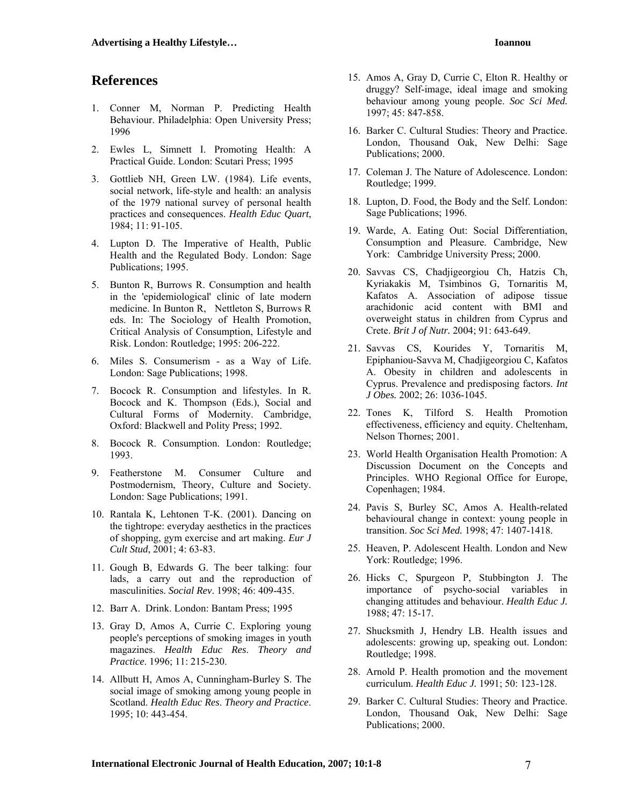### **References**

- 1. Conner M, Norman P. Predicting Health Behaviour. Philadelphia: Open University Press; 1996
- 2. Ewles L, Simnett I. Promoting Health: A Practical Guide. London: Scutari Press; 1995
- 3. Gottlieb NH, Green LW. (1984). Life events, social network, life-style and health: an analysis of the 1979 national survey of personal health practices and consequences. *Health Educ Quart*, 1984; 11: 91-105.
- 4. Lupton D. The Imperative of Health, Public Health and the Regulated Body. London: Sage Publications; 1995.
- 5. Bunton R, Burrows R. Consumption and health in the 'epidemiological' clinic of late modern medicine. In Bunton R, Nettleton S, Burrows R eds. In: The Sociology of Health Promotion, Critical Analysis of Consumption, Lifestyle and Risk. London: Routledge; 1995: 206-222.
- 6. Miles S. Consumerism as a Way of Life. London: Sage Publications; 1998.
- 7. Bocock R. Consumption and lifestyles. In R. Bocock and K. Thompson (Eds.), Social and Cultural Forms of Modernity. Cambridge, Oxford: Blackwell and Polity Press; 1992.
- 8. Bocock R. Consumption. London: Routledge; 1993.
- 9. Featherstone M. Consumer Culture and Postmodernism, Theory, Culture and Society. London: Sage Publications; 1991.
- 10. Rantala K, Lehtonen T-K. (2001). Dancing on the tightrope: everyday aesthetics in the practices of shopping, gym exercise and art making. *Eur J Cult Stud*, 2001; 4: 63-83.
- 11. Gough B, Edwards G. The beer talking: four lads, a carry out and the reproduction of masculinities. *Social Rev*. 1998; 46: 409-435.
- 12. Barr A. Drink. London: Bantam Press; 1995
- 13. Gray D, Amos A, Currie C. Exploring young people's perceptions of smoking images in youth magazines. *Health Educ Res*. *Theory and Practice*. 1996; 11: 215-230.
- 14. Allbutt H, Amos A, Cunningham-Burley S. The social image of smoking among young people in Scotland. *Health Educ Res*. *Theory and Practice*. 1995; 10: 443-454.
- 15. Amos A, Gray D, Currie C, Elton R. Healthy or druggy? Self-image, ideal image and smoking behaviour among young people. *Soc Sci Med.* 1997; 45: 847-858.
- 16. Barker C. Cultural Studies: Theory and Practice. London, Thousand Oak, New Delhi: Sage Publications; 2000.
- 17. Coleman J. The Nature of Adolescence. London: Routledge; 1999.
- 18. Lupton, D. Food, the Body and the Self. London: Sage Publications; 1996.
- 19. Warde, A. Eating Out: Social Differentiation, Consumption and Pleasure. Cambridge, New York: Cambridge University Press; 2000.
- 20. Savvas CS, Chadjigeorgiou Ch, Hatzis Ch, Kyriakakis M, Tsimbinos G, Tornaritis M, Kafatos A. Association of adipose tissue arachidonic acid content with BMI and overweight status in children from Cyprus and Crete. *Brit J of Nutr.* 2004; 91: 643-649.
- 21. Savvas CS, Kourides Y, Tornaritis M, Epiphaniou-Savva M, Chadjigeorgiou C, Kafatos A. Obesity in children and adolescents in Cyprus. Prevalence and predisposing factors. *Int J Obes.* 2002; 26: 1036-1045.
- 22. Tones K, Tilford S. Health Promotion effectiveness, efficiency and equity. Cheltenham, Nelson Thornes; 2001.
- 23. World Health Organisation Health Promotion: A Discussion Document on the Concepts and Principles. WHO Regional Office for Europe, Copenhagen; 1984.
- 24. Pavis S, Burley SC, Amos A. Health-related behavioural change in context: young people in transition. *Soc Sci Med.* 1998; 47: 1407-1418.
- 25. Heaven, P. Adolescent Health. London and New York: Routledge; 1996.
- 26. Hicks C, Spurgeon P, Stubbington J. The importance of psycho-social variables in changing attitudes and behaviour. *Health Educ J.* 1988; 47: 15-17.
- 27. Shucksmith J, Hendry LB. Health issues and adolescents: growing up, speaking out. London: Routledge; 1998.
- 28. Arnold P. Health promotion and the movement curriculum. *Health Educ J.* 1991; 50: 123-128.
- 29. Barker C. Cultural Studies: Theory and Practice. London, Thousand Oak, New Delhi: Sage Publications; 2000.